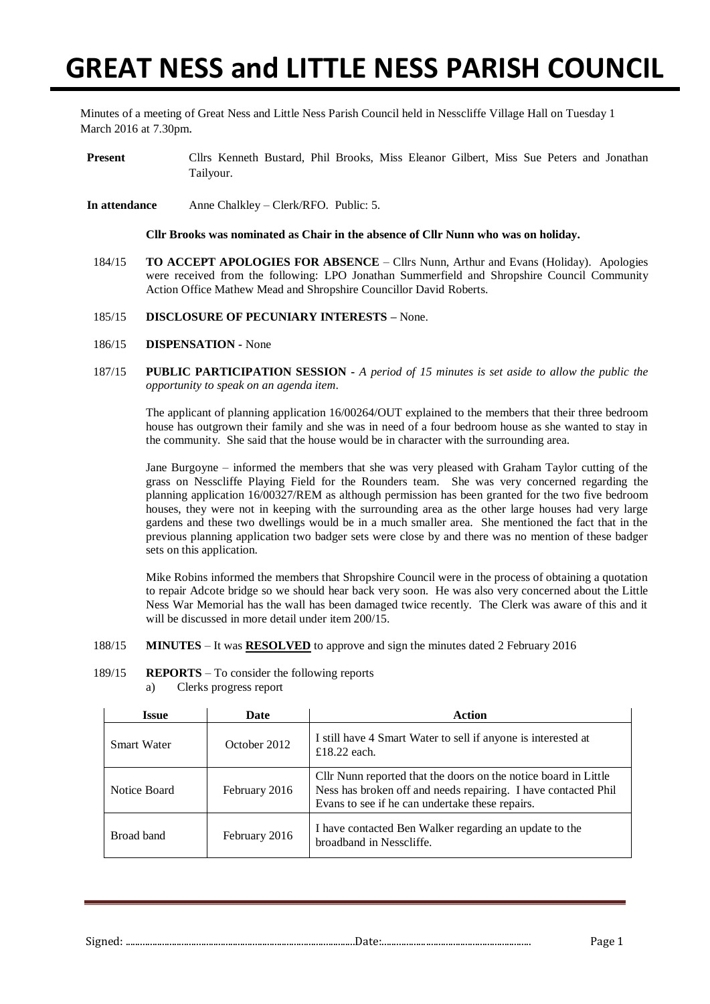# **GREAT NESS and LITTLE NESS PARISH COUNCIL**

Minutes of a meeting of Great Ness and Little Ness Parish Council held in Nesscliffe Village Hall on Tuesday 1 March 2016 at 7.30pm.

- **Present** Cllrs Kenneth Bustard, Phil Brooks, Miss Eleanor Gilbert, Miss Sue Peters and Jonathan Tailyour.
- **In attendance** Anne Chalkley Clerk/RFO. Public: 5.

**Cllr Brooks was nominated as Chair in the absence of Cllr Nunn who was on holiday.**

- 184/15 **TO ACCEPT APOLOGIES FOR ABSENCE** Cllrs Nunn, Arthur and Evans (Holiday)*.* Apologies were received from the following: LPO Jonathan Summerfield and Shropshire Council Community Action Office Mathew Mead and Shropshire Councillor David Roberts.
- 185/15 **DISCLOSURE OF PECUNIARY INTERESTS –** None.
- 186/15 **DISPENSATION -** None
- 187/15 **PUBLIC PARTICIPATION SESSION -** *A period of 15 minutes is set aside to allow the public the opportunity to speak on an agenda item*.

The applicant of planning application 16/00264/OUT explained to the members that their three bedroom house has outgrown their family and she was in need of a four bedroom house as she wanted to stay in the community. She said that the house would be in character with the surrounding area.

Jane Burgoyne – informed the members that she was very pleased with Graham Taylor cutting of the grass on Nesscliffe Playing Field for the Rounders team. She was very concerned regarding the planning application 16/00327/REM as although permission has been granted for the two five bedroom houses, they were not in keeping with the surrounding area as the other large houses had very large gardens and these two dwellings would be in a much smaller area. She mentioned the fact that in the previous planning application two badger sets were close by and there was no mention of these badger sets on this application.

Mike Robins informed the members that Shropshire Council were in the process of obtaining a quotation to repair Adcote bridge so we should hear back very soon. He was also very concerned about the Little Ness War Memorial has the wall has been damaged twice recently. The Clerk was aware of this and it will be discussed in more detail under item  $200/15$ .

- 188/15 **MINUTES** It was **RESOLVED** to approve and sign the minutes dated 2 February 2016
- 189/15 **REPORTS** To consider the following reports a) Clerks progress report

| <b>Issue</b>       | Date          | Action                                                                                                                                                                               |  |  |
|--------------------|---------------|--------------------------------------------------------------------------------------------------------------------------------------------------------------------------------------|--|--|
| <b>Smart Water</b> | October 2012  | I still have 4 Smart Water to sell if anyone is interested at<br>£18.22 each.                                                                                                        |  |  |
| Notice Board       | February 2016 | Cllr Nunn reported that the doors on the notice board in Little<br>Ness has broken off and needs repairing. I have contacted Phil<br>Evans to see if he can undertake these repairs. |  |  |
| Broad band         | February 2016 | I have contacted Ben Walker regarding an update to the<br>broadband in Nesscliffe.                                                                                                   |  |  |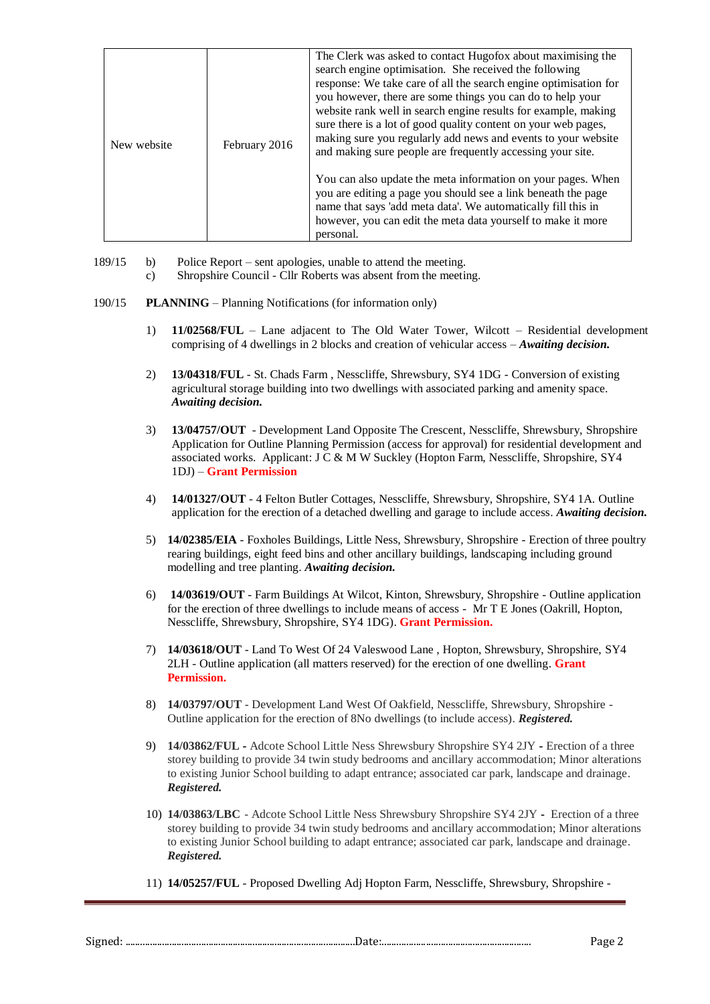| New website | February 2016 | The Clerk was asked to contact Hugofox about maximising the<br>search engine optimisation. She received the following<br>response: We take care of all the search engine optimisation for<br>you however, there are some things you can do to help your<br>website rank well in search engine results for example, making<br>sure there is a lot of good quality content on your web pages,<br>making sure you regularly add news and events to your website<br>and making sure people are frequently accessing your site. |
|-------------|---------------|----------------------------------------------------------------------------------------------------------------------------------------------------------------------------------------------------------------------------------------------------------------------------------------------------------------------------------------------------------------------------------------------------------------------------------------------------------------------------------------------------------------------------|
|             |               | You can also update the meta information on your pages. When<br>you are editing a page you should see a link beneath the page<br>name that says 'add meta data'. We automatically fill this in<br>however, you can edit the meta data yourself to make it more<br>personal.                                                                                                                                                                                                                                                |

189/15 b) Police Report – sent apologies, unable to attend the meeting.

- c) Shropshire Council Cllr Roberts was absent from the meeting.
- 190/15 **PLANNING** Planning Notifications (for information only)
	- 1) **11/02568/FUL** Lane adjacent to The Old Water Tower, Wilcott Residential development comprising of 4 dwellings in 2 blocks and creation of vehicular access – *Awaiting decision.*
	- 2) **13/04318/FUL** St. Chads Farm , Nesscliffe, Shrewsbury, SY4 1DG Conversion of existing agricultural storage building into two dwellings with associated parking and amenity space. *Awaiting decision.*
	- 3) **13/04757/OUT** Development Land Opposite The Crescent, Nesscliffe, Shrewsbury, Shropshire Application for Outline Planning Permission (access for approval) for residential development and associated works. Applicant: J C & M W Suckley (Hopton Farm, Nesscliffe, Shropshire, SY4 1DJ) – **Grant Permission**
	- 4) **14/01327/OUT** 4 Felton Butler Cottages, Nesscliffe, Shrewsbury, Shropshire, SY4 1A. Outline application for the erection of a detached dwelling and garage to include access. *Awaiting decision.*
	- 5) **14/02385/EIA** Foxholes Buildings, Little Ness, Shrewsbury, Shropshire Erection of three poultry rearing buildings, eight feed bins and other ancillary buildings, landscaping including ground modelling and tree planting. *Awaiting decision.*
	- 6) **14/03619/OUT** Farm Buildings At Wilcot, Kinton, Shrewsbury, Shropshire Outline application for the erection of three dwellings to include means of access - Mr T E Jones (Oakrill, Hopton, Nesscliffe, Shrewsbury, Shropshire, SY4 1DG). **Grant Permission.**
	- 7) **14/03618/OUT** Land To West Of 24 Valeswood Lane , Hopton, Shrewsbury, Shropshire, SY4 2LH - Outline application (all matters reserved) for the erection of one dwelling. **Grant Permission.**
	- 8) **14/03797/OUT** Development Land West Of Oakfield, Nesscliffe, Shrewsbury, Shropshire Outline application for the erection of 8No dwellings (to include access). *Registered.*
	- 9) **14/03862/FUL -** Adcote School Little Ness Shrewsbury Shropshire SY4 2JY **-** Erection of a three storey building to provide 34 twin study bedrooms and ancillary accommodation; Minor alterations to existing Junior School building to adapt entrance; associated car park, landscape and drainage. *Registered.*
	- 10) **14/03863/LBC** Adcote School Little Ness Shrewsbury Shropshire SY4 2JY **-** Erection of a three storey building to provide 34 twin study bedrooms and ancillary accommodation; Minor alterations to existing Junior School building to adapt entrance; associated car park, landscape and drainage. *Registered.*
	- 11) **14/05257/FUL** Proposed Dwelling Adj Hopton Farm, Nesscliffe, Shrewsbury, Shropshire -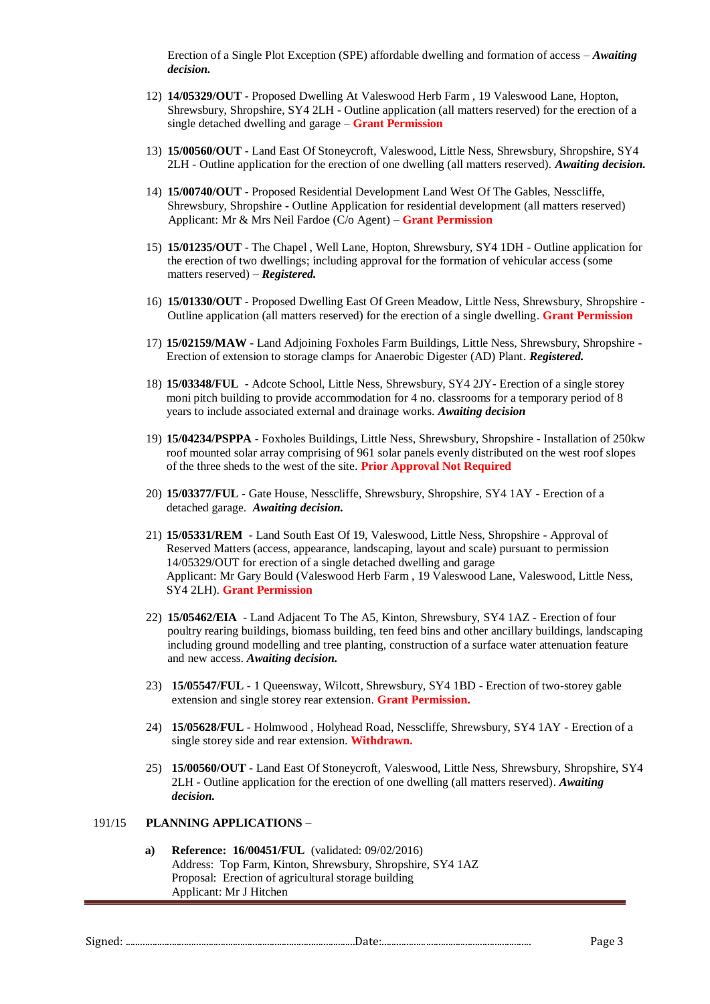Erection of a Single Plot Exception (SPE) affordable dwelling and formation of access – *Awaiting decision.*

- 12) **14/05329/OUT** Proposed Dwelling At Valeswood Herb Farm , 19 Valeswood Lane, Hopton, Shrewsbury, Shropshire, SY4 2LH - Outline application (all matters reserved) for the erection of a single detached dwelling and garage – **Grant Permission**
- 13) **15/00560/OUT** Land East Of Stoneycroft, Valeswood, Little Ness, Shrewsbury, Shropshire, SY4 2LH - Outline application for the erection of one dwelling (all matters reserved). *Awaiting decision.*
- 14) **15/00740/OUT** Proposed Residential Development Land West Of The Gables, Nesscliffe, Shrewsbury, Shropshire **-** Outline Application for residential development (all matters reserved) Applicant: Mr & Mrs Neil Fardoe (C/o Agent) – **Grant Permission**
- 15) **15/01235/OUT** The Chapel , Well Lane, Hopton, Shrewsbury, SY4 1DH Outline application for the erection of two dwellings; including approval for the formation of vehicular access (some matters reserved) – *Registered.*
- 16) **15/01330/OUT** Proposed Dwelling East Of Green Meadow, Little Ness, Shrewsbury, Shropshire Outline application (all matters reserved) for the erection of a single dwelling. **Grant Permission**
- 17) **15/02159/MAW** Land Adjoining Foxholes Farm Buildings, Little Ness, Shrewsbury, Shropshire Erection of extension to storage clamps for Anaerobic Digester (AD) Plant. *Registered.*
- 18) **15/03348/FUL**  Adcote School, Little Ness, Shrewsbury, SY4 2JY- Erection of a single storey moni pitch building to provide accommodation for 4 no. classrooms for a temporary period of 8 years to include associated external and drainage works. *Awaiting decision*
- 19) **15/04234/PSPPA** Foxholes Buildings, Little Ness, Shrewsbury, Shropshire Installation of 250kw roof mounted solar array comprising of 961 solar panels evenly distributed on the west roof slopes of the three sheds to the west of the site. **Prior Approval Not Required**
- 20) **15/03377/FUL** Gate House, Nesscliffe, Shrewsbury, Shropshire, SY4 1AY Erection of a detached garage. *Awaiting decision.*
- 21) **15/05331/REM** Land South East Of 19, Valeswood, Little Ness, Shropshire Approval of Reserved Matters (access, appearance, landscaping, layout and scale) pursuant to permission 14/05329/OUT for erection of a single detached dwelling and garage Applicant: Mr Gary Bould (Valeswood Herb Farm , 19 Valeswood Lane, Valeswood, Little Ness, SY4 2LH). **Grant Permission**
- 22) **15/05462/EIA** Land Adjacent To The A5, Kinton, Shrewsbury, SY4 1AZ Erection of four poultry rearing buildings, biomass building, ten feed bins and other ancillary buildings, landscaping including ground modelling and tree planting, construction of a surface water attenuation feature and new access. *Awaiting decision.*
- 23) **15/05547/FUL** 1 Queensway, Wilcott, Shrewsbury, SY4 1BD Erection of two-storey gable extension and single storey rear extension. **Grant Permission.**
- 24) **15/05628/FUL** Holmwood , Holyhead Road, Nesscliffe, Shrewsbury, SY4 1AY Erection of a single storey side and rear extension. **Withdrawn.**
- 25) **15/00560/OUT** Land East Of Stoneycroft, Valeswood, Little Ness, Shrewsbury, Shropshire, SY4 2LH - Outline application for the erection of one dwelling (all matters reserved). *Awaiting decision.*

#### 191/15 **PLANNING APPLICATIONS** *–*

**a) Reference: 16/00451/FUL** (validated: 09/02/2016) Address: Top Farm, Kinton, Shrewsbury, Shropshire, SY4 1AZ Proposal: Erection of agricultural storage building Applicant: Mr J Hitchen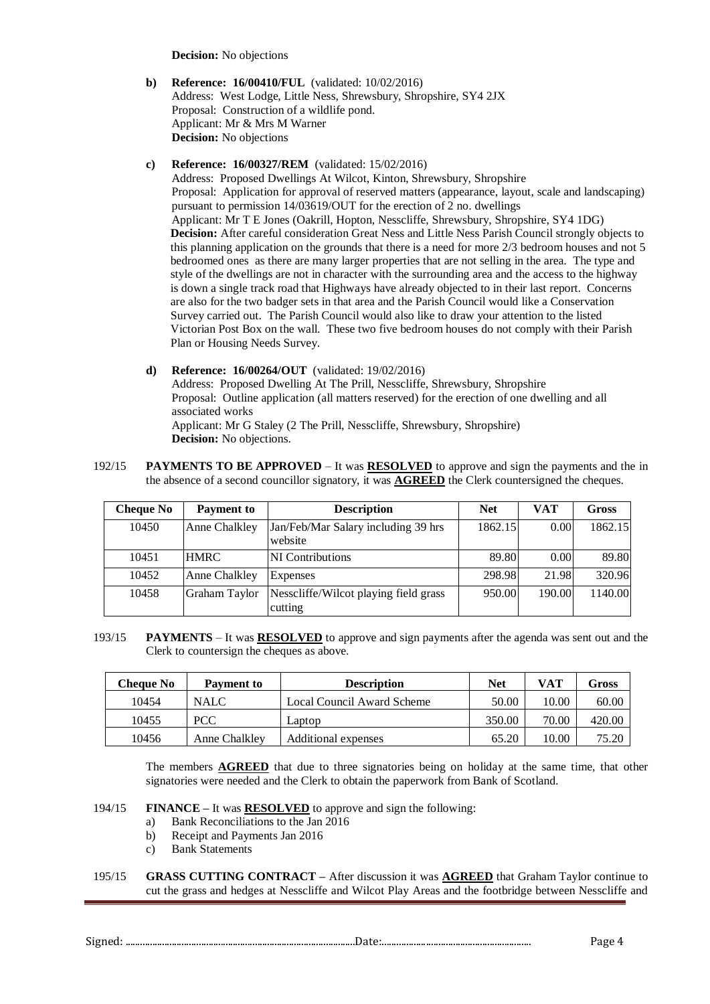**Decision:** No objections

**b) Reference: 16/00410/FUL** (validated: 10/02/2016) Address: West Lodge, Little Ness, Shrewsbury, Shropshire, SY4 2JX Proposal: Construction of a wildlife pond. Applicant: Mr & Mrs M Warner **Decision:** No objections

## **c) Reference: 16/00327/REM** (validated: 15/02/2016)

Address: Proposed Dwellings At Wilcot, Kinton, Shrewsbury, Shropshire Proposal: Application for approval of reserved matters (appearance, layout, scale and landscaping) pursuant to permission 14/03619/OUT for the erection of 2 no. dwellings Applicant: Mr T E Jones (Oakrill, Hopton, Nesscliffe, Shrewsbury, Shropshire, SY4 1DG) **Decision:** After careful consideration Great Ness and Little Ness Parish Council strongly objects to this planning application on the grounds that there is a need for more 2/3 bedroom houses and not 5 bedroomed ones as there are many larger properties that are not selling in the area. The type and style of the dwellings are not in character with the surrounding area and the access to the highway is down a single track road that Highways have already objected to in their last report. Concerns are also for the two badger sets in that area and the Parish Council would like a Conservation Survey carried out. The Parish Council would also like to draw your attention to the listed Victorian Post Box on the wall. These two five bedroom houses do not comply with their Parish Plan or Housing Needs Survey.

- **d) Reference: 16/00264/OUT** (validated: 19/02/2016) Address: Proposed Dwelling At The Prill, Nesscliffe, Shrewsbury, Shropshire Proposal: Outline application (all matters reserved) for the erection of one dwelling and all associated works Applicant: Mr G Staley (2 The Prill, Nesscliffe, Shrewsbury, Shropshire) **Decision:** No objections.
- 192/15 **PAYMENTS TO BE APPROVED**  It was **RESOLVED** to approve and sign the payments and the in the absence of a second councillor signatory, it was **AGREED** the Clerk countersigned the cheques.

| <b>Cheque No</b> | <b>Payment to</b> | <b>Description</b>                               | <b>Net</b> | VAT    | <b>Gross</b> |
|------------------|-------------------|--------------------------------------------------|------------|--------|--------------|
| 10450            | Anne Chalkley     | Jan/Feb/Mar Salary including 39 hrs<br>website   | 1862.15    | 0.00   | 1862.15      |
| 10451            | <b>HMRC</b>       | <b>NI</b> Contributions                          | 89.80      | 0.00   | 89.80        |
| 10452            | Anne Chalkley     | Expenses                                         | 298.98     | 21.98  | 320.96       |
| 10458            | Graham Taylor     | Nesscliffe/Wilcot playing field grass<br>cutting | 950.00     | 190.00 | 1140.00      |

193/15 **PAYMENTS** – It was **RESOLVED** to approve and sign payments after the agenda was sent out and the Clerk to countersign the cheques as above.

| <b>Cheque No</b> | Payment to    | <b>Description</b>         | <b>Net</b> | VAT   | Gross  |
|------------------|---------------|----------------------------|------------|-------|--------|
| 10454            | <b>NALC</b>   | Local Council Award Scheme | 50.00      | 10.00 | 60.00  |
| 10455            | <b>PCC</b>    | Laptop                     | 350.00     | 70.00 | 420.00 |
| 10456            | Anne Chalkley | Additional expenses        | 65.20      | 10.00 | 75.20  |

The members **AGREED** that due to three signatories being on holiday at the same time, that other signatories were needed and the Clerk to obtain the paperwork from Bank of Scotland.

# 194/15 **FINANCE –** It was **RESOLVED** to approve and sign the following:

- a) Bank Reconciliations to the Jan 2016
- b) Receipt and Payments Jan 2016
- c) Bank Statements
- 195/15 **GRASS CUTTING CONTRACT –** After discussion it was **AGREED** that Graham Taylor continue to cut the grass and hedges at Nesscliffe and Wilcot Play Areas and the footbridge between Nesscliffe and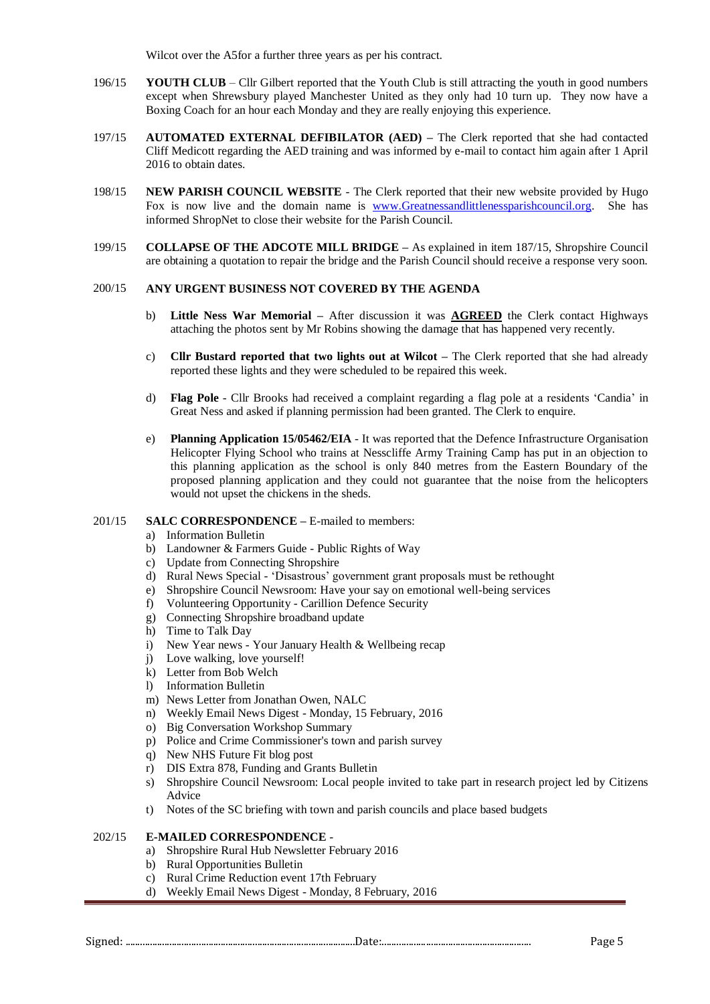Wilcot over the A5for a further three years as per his contract.

- 196/15 **YOUTH CLUB** Cllr Gilbert reported that the Youth Club is still attracting the youth in good numbers except when Shrewsbury played Manchester United as they only had 10 turn up. They now have a Boxing Coach for an hour each Monday and they are really enjoying this experience.
- 197/15 **AUTOMATED EXTERNAL DEFIBILATOR (AED) –** The Clerk reported that she had contacted Cliff Medicott regarding the AED training and was informed by e-mail to contact him again after 1 April 2016 to obtain dates.
- 198/15 **NEW PARISH COUNCIL WEBSITE**  The Clerk reported that their new website provided by Hugo Fox is now live and the domain name is [www.Greatnessandlittlenessparishcouncil.org.](http://www.greatnessandlittlenessparishcouncil.org/) She has informed ShropNet to close their website for the Parish Council.
- 199/15 **COLLAPSE OF THE ADCOTE MILL BRIDGE –** As explained in item 187/15, Shropshire Council are obtaining a quotation to repair the bridge and the Parish Council should receive a response very soon.

## 200/15 **ANY URGENT BUSINESS NOT COVERED BY THE AGENDA**

- b) **Little Ness War Memorial –** After discussion it was **AGREED** the Clerk contact Highways attaching the photos sent by Mr Robins showing the damage that has happened very recently.
- c) **Cllr Bustard reported that two lights out at Wilcot –** The Clerk reported that she had already reported these lights and they were scheduled to be repaired this week.
- d) **Flag Pole**  Cllr Brooks had received a complaint regarding a flag pole at a residents 'Candia' in Great Ness and asked if planning permission had been granted. The Clerk to enquire.
- e) **Planning Application 15/05462/EIA** It was reported that the Defence Infrastructure Organisation Helicopter Flying School who trains at Nesscliffe Army Training Camp has put in an objection to this planning application as the school is only 840 metres from the Eastern Boundary of the proposed planning application and they could not guarantee that the noise from the helicopters would not upset the chickens in the sheds.

### 201/15 **SALC CORRESPONDENCE –** E-mailed to members:

- a) Information Bulletin
- b) Landowner & Farmers Guide Public Rights of Way
- c) Update from Connecting Shropshire
- d) Rural News Special 'Disastrous' government grant proposals must be rethought
- e) Shropshire Council Newsroom: Have your say on emotional well-being services
- f) Volunteering Opportunity Carillion Defence Security
- g) Connecting Shropshire broadband update
- h) Time to Talk Day
- i) New Year news Your January Health & Wellbeing recap
- j) Love walking, love yourself!
- k) Letter from Bob Welch
- l) Information Bulletin
- m) News Letter from Jonathan Owen, NALC
- n) Weekly Email News Digest Monday, 15 February, 2016
- o) Big Conversation Workshop Summary
- p) Police and Crime Commissioner's town and parish survey
- q) New NHS Future Fit blog post
- r) DIS Extra 878, Funding and Grants Bulletin
- s) Shropshire Council Newsroom: Local people invited to take part in research project led by Citizens Advice
- t) Notes of the SC briefing with town and parish councils and place based budgets

#### 202/15 **E-MAILED CORRESPONDENCE** -

- a) Shropshire Rural Hub Newsletter February 2016
- b) Rural Opportunities Bulletin
- c) Rural Crime Reduction event 17th February
- d) Weekly Email News Digest Monday, 8 February, 2016